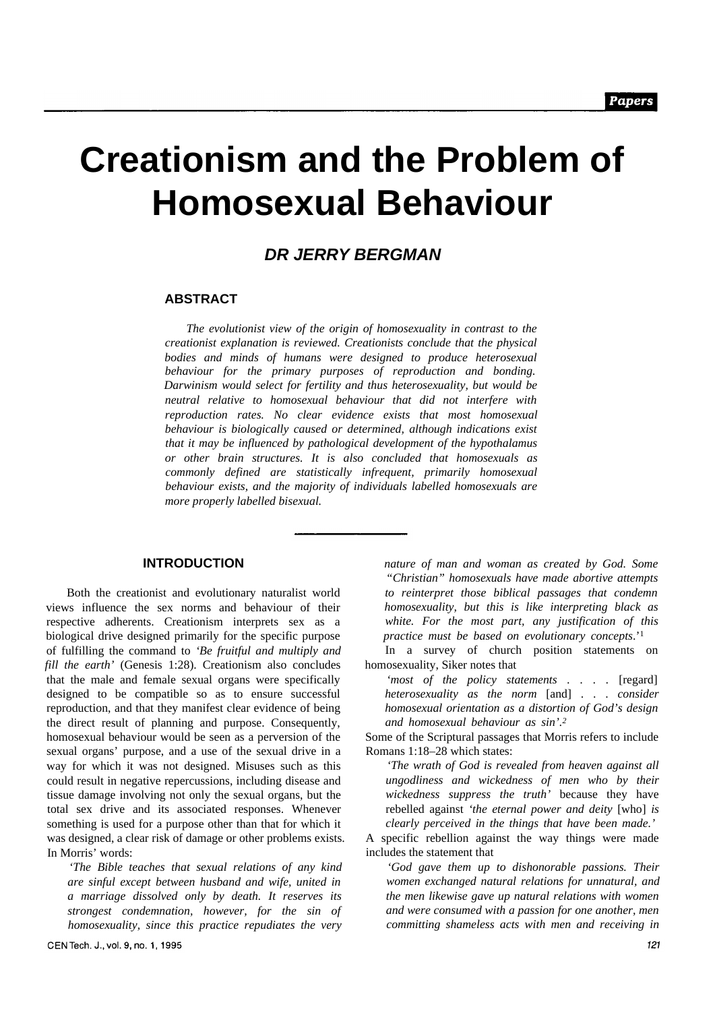# **Creationism and the Problem of Homosexual Behaviour**

## *DR JERRY BERGMAN*

#### **ABSTRACT**

*The evolutionist view of the origin of homosexuality in contrast to the creationist explanation is reviewed. Creationists conclude that the physical bodies and minds of humans were designed to produce heterosexual behaviour for the primary purposes of reproduction and bonding. Darwinism would select for fertility and thus heterosexuality, but would be neutral relative to homosexual behaviour that did not interfere with reproduction rates. No clear evidence exists that most homosexual behaviour is biologically caused or determined, although indications exist that it may be influenced by pathological development of the hypothalamus or other brain structures. It is also concluded that homosexuals as commonly defined are statistically infrequent, primarily homosexual behaviour exists, and the majority of individuals labelled homosexuals are more properly labelled bisexual.*

## **INTRODUCTION**

Both the creationist and evolutionary naturalist world views influence the sex norms and behaviour of their respective adherents. Creationism interprets sex as a biological drive designed primarily for the specific purpose of fulfilling the command to *'Be fruitful and multiply and fill the earth'* (Genesis 1:28). Creationism also concludes that the male and female sexual organs were specifically designed to be compatible so as to ensure successful reproduction, and that they manifest clear evidence of being the direct result of planning and purpose. Consequently, homosexual behaviour would be seen as a perversion of the sexual organs' purpose, and a use of the sexual drive in a way for which it was not designed. Misuses such as this could result in negative repercussions, including disease and tissue damage involving not only the sexual organs, but the total sex drive and its associated responses. Whenever something is used for a purpose other than that for which it was designed, a clear risk of damage or other problems exists. In Morris' words:

*'The Bible teaches that sexual relations of any kind are sinful except between husband and wife, united in a marriage dissolved only by death. It reserves its strongest condemnation, however, for the sin of homosexuality, since this practice repudiates the very*

*nature of man and woman as created by God. Some "Christian" homosexuals have made abortive attempts to reinterpret those biblical passages that condemn homosexuality, but this is like interpreting black as white. For the most part, any justification of this practice must be based on evolutionary concepts*.'<sup>1</sup>

In a survey of church position statements on homosexuality, Siker notes that

*'most of the policy statements . . . .* [regard] *heterosexuality as the norm* [and] . . . *consider homosexual orientation as a distortion of God's design and homosexual behaviour as sin'.<sup>2</sup>*

Some of the Scriptural passages that Morris refers to include Romans 1:18–28 which states:

*'The wrath of God is revealed from heaven against all ungodliness and wickedness of men who by their wickedness suppress the truth'* because they have rebelled against *'the eternal power and deity* [who] *is clearly perceived in the things that have been made.'*

A specific rebellion against the way things were made includes the statement that

*'God gave them up to dishonorable passions. Their women exchanged natural relations for unnatural, and the men likewise gave up natural relations with women and were consumed with a passion for one another, men committing shameless acts with men and receiving in*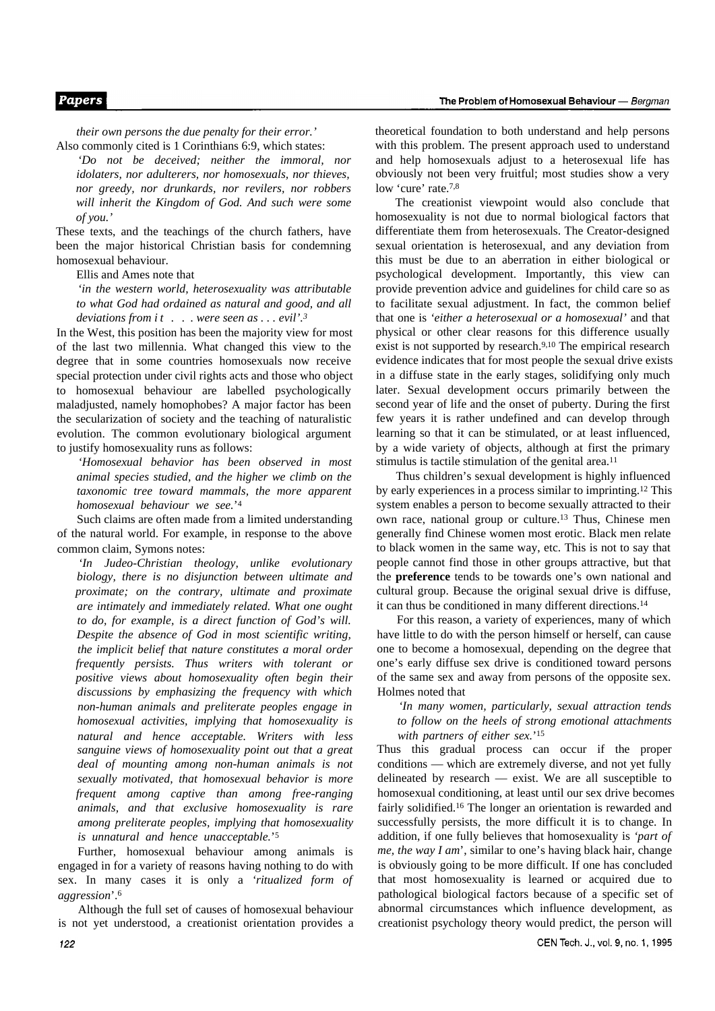#### **Papers**

*their own persons the due penalty for their error.'* Also commonly cited is 1 Corinthians 6:9, which states:

*'Do not be deceived; neither the immoral, nor idolaters, nor adulterers, nor homosexuals, nor thieves, nor greedy, nor drunkards, nor revilers, nor robbers will inherit the Kingdom of God. And such were some of you.'*

These texts, and the teachings of the church fathers, have been the major historical Christian basis for condemning homosexual behaviour.

Ellis and Ames note that

*'in the western world, heterosexuality was attributable to what God had ordained as natural and good, and all deviations from it . . . were seen as . . . evil'.<sup>3</sup>*

In the West, this position has been the majority view for most of the last two millennia. What changed this view to the degree that in some countries homosexuals now receive special protection under civil rights acts and those who object to homosexual behaviour are labelled psychologically maladjusted, namely homophobes? A major factor has been the secularization of society and the teaching of naturalistic evolution. The common evolutionary biological argument to justify homosexuality runs as follows:

*'Homosexual behavior has been observed in most animal species studied, and the higher we climb on the taxonomic tree toward mammals, the more apparent homosexual behaviour we see.*' 4

Such claims are often made from a limited understanding of the natural world. For example, in response to the above common claim, Symons notes:

*'In Judeo-Christian theology, unlike evolutionary biology, there is no disjunction between ultimate and proximate; on the contrary, ultimate and proximate are intimately and immediately related. What one ought to do, for example, is a direct function of God's will. Despite the absence of God in most scientific writing, the implicit belief that nature constitutes a moral order frequently persists. Thus writers with tolerant or positive views about homosexuality often begin their discussions by emphasizing the frequency with which non-human animals and preliterate peoples engage in homosexual activities, implying that homosexuality is natural and hence acceptable. Writers with less sanguine views of homosexuality point out that a great deal of mounting among non-human animals is not sexually motivated, that homosexual behavior is more frequent among captive than among free-ranging animals, and that exclusive homosexuality is rare among preliterate peoples, implying that homosexuality is unnatural and hence unacceptable.*' 5

Further, homosexual behaviour among animals is engaged in for a variety of reasons having nothing to do with sex. In many cases it is only a *'ritualized form of aggression*'.<sup>6</sup>

Although the full set of causes of homosexual behaviour is not yet understood, a creationist orientation provides a theoretical foundation to both understand and help persons with this problem. The present approach used to understand and help homosexuals adjust to a heterosexual life has obviously not been very fruitful; most studies show a very low 'cure' rate.<sup>7,8</sup>

The creationist viewpoint would also conclude that homosexuality is not due to normal biological factors that differentiate them from heterosexuals. The Creator-designed sexual orientation is heterosexual, and any deviation from this must be due to an aberration in either biological or psychological development. Importantly, this view can provide prevention advice and guidelines for child care so as to facilitate sexual adjustment. In fact, the common belief that one is *'either a heterosexual or a homosexual'* and that physical or other clear reasons for this difference usually exist is not supported by research.<sup>9,10</sup> The empirical research evidence indicates that for most people the sexual drive exists in a diffuse state in the early stages, solidifying only much later. Sexual development occurs primarily between the second year of life and the onset of puberty. During the first few years it is rather undefined and can develop through learning so that it can be stimulated, or at least influenced, by a wide variety of objects, although at first the primary stimulus is tactile stimulation of the genital area.<sup>11</sup>

Thus children's sexual development is highly influenced by early experiences in a process similar to imprinting.12 This system enables a person to become sexually attracted to their own race, national group or culture.13 Thus, Chinese men generally find Chinese women most erotic. Black men relate to black women in the same way, etc. This is not to say that people cannot find those in other groups attractive, but that the **preference** tends to be towards one's own national and cultural group. Because the original sexual drive is diffuse, it can thus be conditioned in many different directions.<sup>14</sup>

For this reason, a variety of experiences, many of which have little to do with the person himself or herself, can cause one to become a homosexual, depending on the degree that one's early diffuse sex drive is conditioned toward persons of the same sex and away from persons of the opposite sex. Holmes noted that

*'In many women, particularly, sexual attraction tends to follow on the heels of strong emotional attachments with partners of either sex.*' 15

Thus this gradual process can occur if the proper conditions — which are extremely diverse, and not yet fully delineated by research — exist. We are all susceptible to homosexual conditioning, at least until our sex drive becomes fairly solidified.16 The longer an orientation is rewarded and successfully persists, the more difficult it is to change. In addition, if one fully believes that homosexuality is *'part of me, the way I am*', similar to one's having black hair, change is obviously going to be more difficult. If one has concluded that most homosexuality is learned or acquired due to pathological biological factors because of a specific set of abnormal circumstances which influence development, as creationist psychology theory would predict, the person will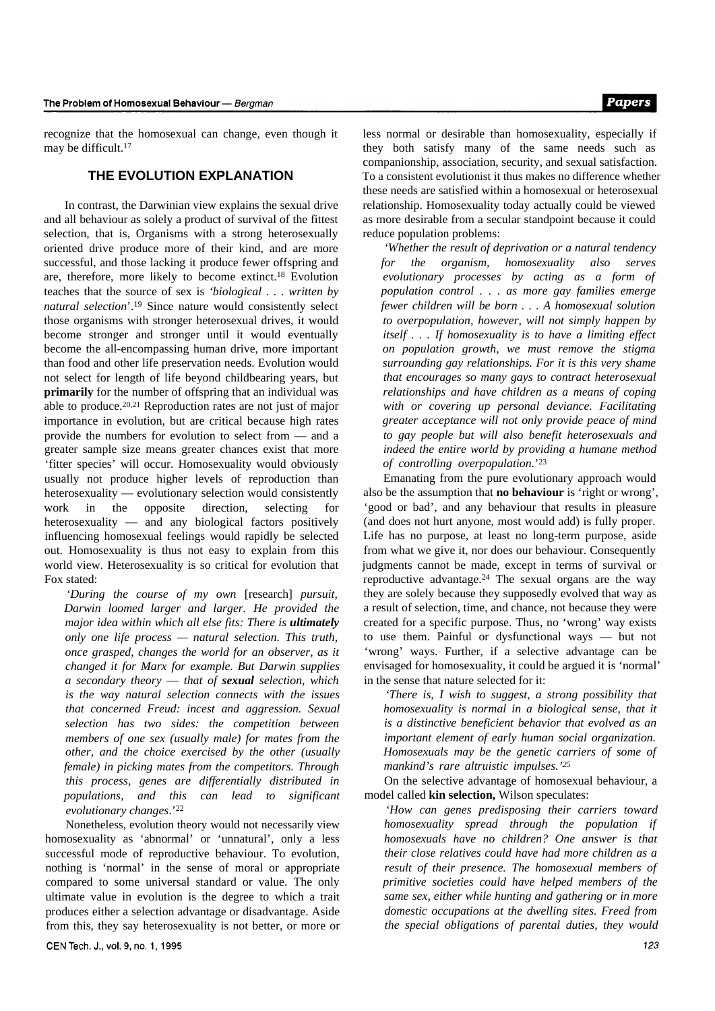recognize that the homosexual can change, even though it may be difficult.<sup>17</sup>

#### **THE EVOLUTION EXPLANATION**

In contrast, the Darwinian view explains the sexual drive and all behaviour as solely a product of survival of the fittest selection, that is, Organisms with a strong heterosexually oriented drive produce more of their kind, and are more successful, and those lacking it produce fewer offspring and are, therefore, more likely to become extinct.18 Evolution teaches that the source of sex is *'biological . . . written by natural selection*'.19 Since nature would consistently select those organisms with stronger heterosexual drives, it would become stronger and stronger until it would eventually become the all-encompassing human drive, more important than food and other life preservation needs. Evolution would not select for length of life beyond childbearing years, but **primarily** for the number of offspring that an individual was able to produce.20,21 Reproduction rates are not just of major importance in evolution, but are critical because high rates provide the numbers for evolution to select from — and a greater sample size means greater chances exist that more 'fitter species' will occur. Homosexuality would obviously usually not produce higher levels of reproduction than heterosexuality — evolutionary selection would consistently work in the opposite direction, selecting for heterosexuality — and any biological factors positively influencing homosexual feelings would rapidly be selected out. Homosexuality is thus not easy to explain from this world view. Heterosexuality is so critical for evolution that Fox stated:

*'During the course of my own* [research] *pursuit, Darwin loomed larger and larger. He provided the major idea within which all else fits: There is ultimately only one life process — natural selection. This truth, once grasped, changes the world for an observer, as it changed it for Marx for example. But Darwin supplies a secondary theory* — *that of sexual selection, which is the way natural selection connects with the issues that concerned Freud: incest and aggression. Sexual selection has two sides: the competition between members of one sex (usually male) for mates from the other, and the choice exercised by the other (usually female) in picking mates from the competitors. Through this process, genes are differentially distributed in populations, and this can lead to significant evolutionary changes*.'<sup>22</sup>

Nonetheless, evolution theory would not necessarily view homosexuality as 'abnormal' or 'unnatural', only a less successful mode of reproductive behaviour. To evolution, nothing is 'normal' in the sense of moral or appropriate compared to some universal standard or value. The only ultimate value in evolution is the degree to which a trait produces either a selection advantage or disadvantage. Aside from this, they say heterosexuality is not better, or more or

less normal or desirable than homosexuality, especially if they both satisfy many of the same needs such as companionship, association, security, and sexual satisfaction. To a consistent evolutionist it thus makes no difference whether these needs are satisfied within a homosexual or heterosexual relationship. Homosexuality today actually could be viewed as more desirable from a secular standpoint because it could reduce population problems:

*'Whether the result of deprivation or a natural tendency for the organism, homosexuality also serves evolutionary processes by acting as a form of population control . . . as more gay families emerge fewer children will be born . . . A homosexual solution to overpopulation, however, will not simply happen by itself . . . If homosexuality is to have a limiting effect on population growth, we must remove the stigma surrounding gay relationships. For it is this very shame that encourages so many gays to contract heterosexual relationships and have children as a means of coping with or covering up personal deviance. Facilitating greater acceptance will not only provide peace of mind to gay people but will also benefit heterosexuals and indeed the entire world by providing a humane method of controlling overpopulation.*' 23

Emanating from the pure evolutionary approach would also be the assumption that **no behaviour** is 'right or wrong', 'good or bad', and any behaviour that results in pleasure (and does not hurt anyone, most would add) is fully proper. Life has no purpose, at least no long-term purpose, aside from what we give it, nor does our behaviour. Consequently judgments cannot be made, except in terms of survival or reproductive advantage.24 The sexual organs are the way they are solely because they supposedly evolved that way as a result of selection, time, and chance, not because they were created for a specific purpose. Thus, no 'wrong' way exists to use them. Painful or dysfunctional ways — but not 'wrong' ways. Further, if a selective advantage can be envisaged for homosexuality, it could be argued it is 'normal' in the sense that nature selected for it:

*'There is, I wish to suggest, a strong possibility that homosexuality is normal in a biological sense, that it is a distinctive beneficient behavior that evolved as an important element of early human social organization. Homosexuals may be the genetic carriers of some of mankind's rare altruistic impulses.'<sup>25</sup>*

On the selective advantage of homosexual behaviour, a model called **kin selection,** Wilson speculates:

*'How can genes predisposing their carriers toward homosexuality spread through the population if homosexuals have no children? One answer is that their close relatives could have had more children as a result of their presence. The homosexual members of primitive societies could have helped members of the same sex, either while hunting and gathering or in more domestic occupations at the dwelling sites. Freed from the special obligations of parental duties, they would*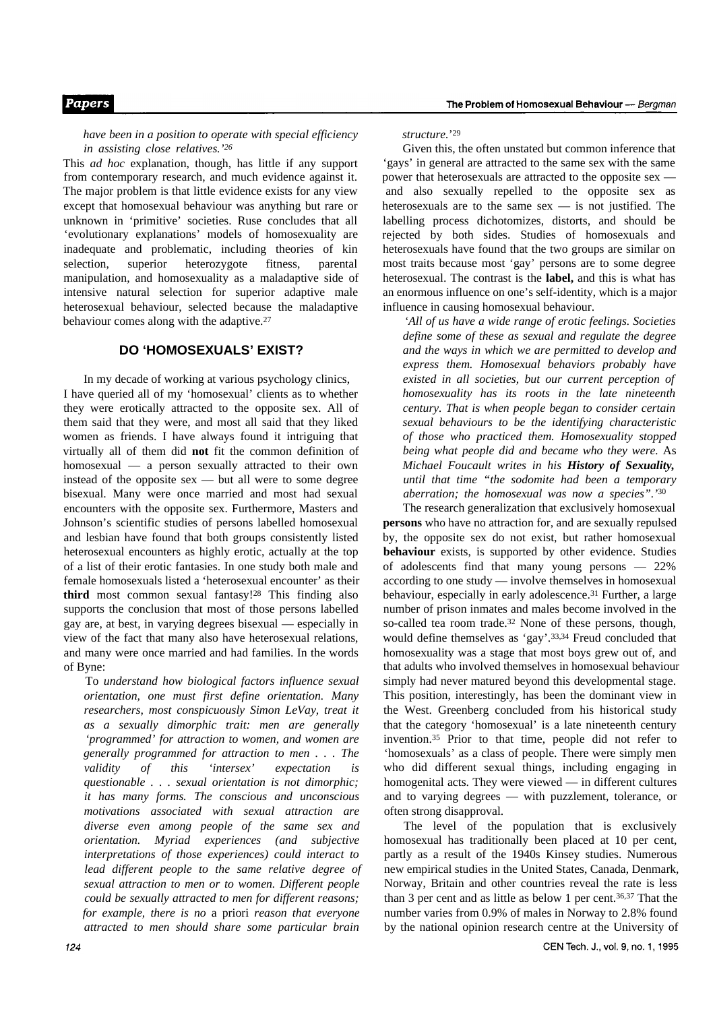*have been in a position to operate with special efficiency in assisting close relatives.'<sup>26</sup>*

This *ad hoc* explanation, though, has little if any support from contemporary research, and much evidence against it. The major problem is that little evidence exists for any view except that homosexual behaviour was anything but rare or unknown in 'primitive' societies. Ruse concludes that all 'evolutionary explanations' models of homosexuality are inadequate and problematic, including theories of kin selection, superior heterozygote fitness, parental manipulation, and homosexuality as a maladaptive side of intensive natural selection for superior adaptive male heterosexual behaviour, selected because the maladaptive behaviour comes along with the adaptive.<sup>27</sup>

## **DO 'HOMOSEXUALS' EXIST?**

In my decade of working at various psychology clinics, I have queried all of my 'homosexual' clients as to whether they were erotically attracted to the opposite sex. All of them said that they were, and most all said that they liked women as friends. I have always found it intriguing that virtually all of them did **not** fit the common definition of homosexual — a person sexually attracted to their own instead of the opposite sex — but all were to some degree bisexual. Many were once married and most had sexual encounters with the opposite sex. Furthermore, Masters and Johnson's scientific studies of persons labelled homosexual and lesbian have found that both groups consistently listed heterosexual encounters as highly erotic, actually at the top of a list of their erotic fantasies. In one study both male and female homosexuals listed a 'heterosexual encounter' as their **third** most common sexual fantasy!28 This finding also supports the conclusion that most of those persons labelled gay are, at best, in varying degrees bisexual — especially in view of the fact that many also have heterosexual relations, and many were once married and had families. In the words of Byne:

To *understand how biological factors influence sexual orientation, one must first define orientation. Many researchers, most conspicuously Simon LeVay, treat it as a sexually dimorphic trait: men are generally 'programmed' for attraction to women, and women are generally programmed for attraction to men . . . The validity* of this 'intersex' expectation *questionable . . . sexual orientation is not dimorphic; it has many forms. The conscious and unconscious motivations associated with sexual attraction are diverse even among people of the same sex and orientation. Myriad experiences (and subjective interpretations of those experiences) could interact to lead different people to the same relative degree of sexual attraction to men or to women. Different people could be sexually attracted to men for different reasons; for example, there is no* a priori *reason that everyone attracted to men should share some particular brain*

*structure.*' 29

Given this, the often unstated but common inference that 'gays' in general are attracted to the same sex with the same power that heterosexuals are attracted to the opposite sex and also sexually repelled to the opposite sex as heterosexuals are to the same sex — is not justified. The labelling process dichotomizes, distorts, and should be rejected by both sides. Studies of homosexuals and heterosexuals have found that the two groups are similar on most traits because most 'gay' persons are to some degree heterosexual. The contrast is the **label,** and this is what has an enormous influence on one's self-identity, which is a major influence in causing homosexual behaviour.

*'All of us have a wide range of erotic feelings. Societies define some of these as sexual and regulate the degree and the ways in which we are permitted to develop and express them. Homosexual behaviors probably have existed in all societies, but our current perception of homosexuality has its roots in the late nineteenth century. That is when people began to consider certain sexual behaviours to be the identifying characteristic of those who practiced them. Homosexuality stopped being what people did and became who they were.* As *Michael Foucault writes in his History of Sexuality, until that time "the sodomite had been a temporary aberration; the homosexual was now a species".'*<sup>30</sup>

The research generalization that exclusively homosexual **persons** who have no attraction for, and are sexually repulsed by, the opposite sex do not exist, but rather homosexual **behaviour** exists, is supported by other evidence. Studies of adolescents find that many young persons — 22% according to one study — involve themselves in homosexual behaviour, especially in early adolescence.<sup>31</sup> Further, a large number of prison inmates and males become involved in the so-called tea room trade.<sup>32</sup> None of these persons, though, would define themselves as 'gay'.33,34 Freud concluded that homosexuality was a stage that most boys grew out of, and that adults who involved themselves in homosexual behaviour simply had never matured beyond this developmental stage. This position, interestingly, has been the dominant view in the West. Greenberg concluded from his historical study that the category 'homosexual' is a late nineteenth century invention.35 Prior to that time, people did not refer to 'homosexuals' as a class of people. There were simply men who did different sexual things, including engaging in homogenital acts. They were viewed — in different cultures and to varying degrees — with puzzlement, tolerance, or often strong disapproval.

The level of the population that is exclusively homosexual has traditionally been placed at 10 per cent, partly as a result of the 1940s Kinsey studies. Numerous new empirical studies in the United States, Canada, Denmark, Norway, Britain and other countries reveal the rate is less than 3 per cent and as little as below 1 per cent.36,37 That the number varies from 0.9% of males in Norway to 2.8% found by the national opinion research centre at the University of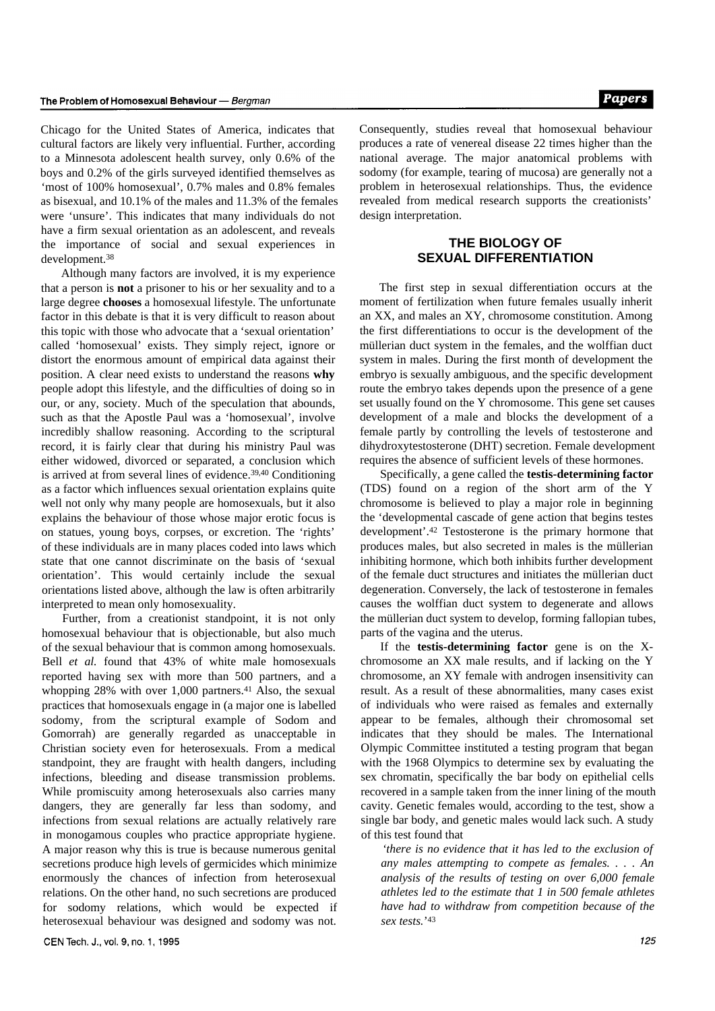Chicago for the United States of America, indicates that cultural factors are likely very influential. Further, according to a Minnesota adolescent health survey, only 0.6% of the boys and 0.2% of the girls surveyed identified themselves as 'most of 100% homosexual', 0.7% males and 0.8% females as bisexual, and 10.1% of the males and 11.3% of the females were 'unsure'. This indicates that many individuals do not have a firm sexual orientation as an adolescent, and reveals the importance of social and sexual experiences in development.<sup>38</sup>

Although many factors are involved, it is my experience that a person is **not** a prisoner to his or her sexuality and to a large degree **chooses** a homosexual lifestyle. The unfortunate factor in this debate is that it is very difficult to reason about this topic with those who advocate that a 'sexual orientation' called 'homosexual' exists. They simply reject, ignore or distort the enormous amount of empirical data against their position. A clear need exists to understand the reasons **why** people adopt this lifestyle, and the difficulties of doing so in our, or any, society. Much of the speculation that abounds, such as that the Apostle Paul was a 'homosexual', involve incredibly shallow reasoning. According to the scriptural record, it is fairly clear that during his ministry Paul was either widowed, divorced or separated, a conclusion which is arrived at from several lines of evidence.39,40 Conditioning as a factor which influences sexual orientation explains quite well not only why many people are homosexuals, but it also explains the behaviour of those whose major erotic focus is on statues, young boys, corpses, or excretion. The 'rights' of these individuals are in many places coded into laws which state that one cannot discriminate on the basis of 'sexual orientation'. This would certainly include the sexual orientations listed above, although the law is often arbitrarily interpreted to mean only homosexuality.

Further, from a creationist standpoint, it is not only homosexual behaviour that is objectionable, but also much of the sexual behaviour that is common among homosexuals. Bell *et al.* found that 43% of white male homosexuals reported having sex with more than 500 partners, and a whopping  $28\%$  with over 1,000 partners.<sup>41</sup> Also, the sexual practices that homosexuals engage in (a major one is labelled sodomy, from the scriptural example of Sodom and Gomorrah) are generally regarded as unacceptable in Christian society even for heterosexuals. From a medical standpoint, they are fraught with health dangers, including infections, bleeding and disease transmission problems. While promiscuity among heterosexuals also carries many dangers, they are generally far less than sodomy, and infections from sexual relations are actually relatively rare in monogamous couples who practice appropriate hygiene. A major reason why this is true is because numerous genital secretions produce high levels of germicides which minimize enormously the chances of infection from heterosexual relations. On the other hand, no such secretions are produced for sodomy relations, which would be expected if heterosexual behaviour was designed and sodomy was not.

Consequently, studies reveal that homosexual behaviour produces a rate of venereal disease 22 times higher than the national average. The major anatomical problems with sodomy (for example, tearing of mucosa) are generally not a problem in heterosexual relationships. Thus, the evidence revealed from medical research supports the creationists' design interpretation.

## **THE BIOLOGY OF SEXUAL DIFFERENTIATION**

The first step in sexual differentiation occurs at the moment of fertilization when future females usually inherit an XX, and males an XY, chromosome constitution. Among the first differentiations to occur is the development of the müllerian duct system in the females, and the wolffian duct system in males. During the first month of development the embryo is sexually ambiguous, and the specific development route the embryo takes depends upon the presence of a gene set usually found on the Y chromosome. This gene set causes development of a male and blocks the development of a female partly by controlling the levels of testosterone and dihydroxytestosterone (DHT) secretion. Female development requires the absence of sufficient levels of these hormones.

Specifically, a gene called the **testis-determining factor** (TDS) found on a region of the short arm of the Y chromosome is believed to play a major role in beginning the 'developmental cascade of gene action that begins testes development'.42 Testosterone is the primary hormone that produces males, but also secreted in males is the müllerian inhibiting hormone, which both inhibits further development of the female duct structures and initiates the müllerian duct degeneration. Conversely, the lack of testosterone in females causes the wolffian duct system to degenerate and allows the müllerian duct system to develop, forming fallopian tubes, parts of the vagina and the uterus.

If the **testis-determining factor** gene is on the Xchromosome an XX male results, and if lacking on the Y chromosome, an XY female with androgen insensitivity can result. As a result of these abnormalities, many cases exist of individuals who were raised as females and externally appear to be females, although their chromosomal set indicates that they should be males. The International Olympic Committee instituted a testing program that began with the 1968 Olympics to determine sex by evaluating the sex chromatin, specifically the bar body on epithelial cells recovered in a sample taken from the inner lining of the mouth cavity. Genetic females would, according to the test, show a single bar body, and genetic males would lack such. A study of this test found that

*'there is no evidence that it has led to the exclusion of any males attempting to compete as females. . . . An analysis of the results of testing on over 6,000 female athletes led to the estimate that 1 in 500 female athletes have had to withdraw from competition because of the sex tests.*' 43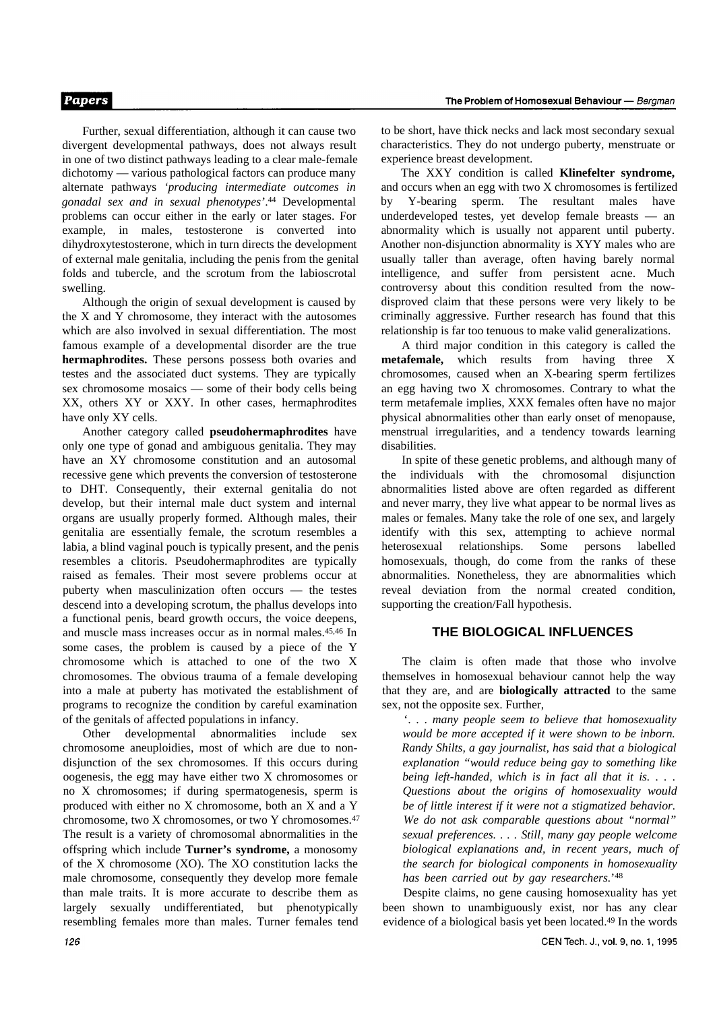Further, sexual differentiation, although it can cause two divergent developmental pathways, does not always result in one of two distinct pathways leading to a clear male-female dichotomy — various pathological factors can produce many alternate pathways *'producing intermediate outcomes in gonadal sex and in sexual phenotypes'*. <sup>44</sup> Developmental problems can occur either in the early or later stages. For example, in males, testosterone is converted into dihydroxytestosterone, which in turn directs the development of external male genitalia, including the penis from the genital folds and tubercle, and the scrotum from the labioscrotal swelling.

Although the origin of sexual development is caused by the X and Y chromosome, they interact with the autosomes which are also involved in sexual differentiation. The most famous example of a developmental disorder are the true **hermaphrodites.** These persons possess both ovaries and testes and the associated duct systems. They are typically sex chromosome mosaics — some of their body cells being XX, others XY or XXY. In other cases, hermaphrodites have only XY cells.

Another category called **pseudohermaphrodites** have only one type of gonad and ambiguous genitalia. They may have an XY chromosome constitution and an autosomal recessive gene which prevents the conversion of testosterone to DHT. Consequently, their external genitalia do not develop, but their internal male duct system and internal organs are usually properly formed. Although males, their genitalia are essentially female, the scrotum resembles a labia, a blind vaginal pouch is typically present, and the penis resembles a clitoris. Pseudohermaphrodites are typically raised as females. Their most severe problems occur at puberty when masculinization often occurs — the testes descend into a developing scrotum, the phallus develops into a functional penis, beard growth occurs, the voice deepens, and muscle mass increases occur as in normal males.45,46 In some cases, the problem is caused by a piece of the Y chromosome which is attached to one of the two X chromosomes. The obvious trauma of a female developing into a male at puberty has motivated the establishment of programs to recognize the condition by careful examination of the genitals of affected populations in infancy.

Other developmental abnormalities include sex chromosome aneuploidies, most of which are due to nondisjunction of the sex chromosomes. If this occurs during oogenesis, the egg may have either two X chromosomes or no X chromosomes; if during spermatogenesis, sperm is produced with either no X chromosome, both an X and a Y chromosome, two X chromosomes, or two Y chromosomes.<sup>47</sup> The result is a variety of chromosomal abnormalities in the offspring which include **Turner's syndrome,** a monosomy of the X chromosome (XO). The XO constitution lacks the male chromosome, consequently they develop more female than male traits. It is more accurate to describe them as largely sexually undifferentiated, but phenotypically resembling females more than males. Turner females tend to be short, have thick necks and lack most secondary sexual characteristics. They do not undergo puberty, menstruate or experience breast development.

The XXY condition is called **Klinefelter syndrome,** and occurs when an egg with two X chromosomes is fertilized by Y-bearing sperm. The resultant males have underdeveloped testes, yet develop female breasts — an abnormality which is usually not apparent until puberty. Another non-disjunction abnormality is XYY males who are usually taller than average, often having barely normal intelligence, and suffer from persistent acne. Much controversy about this condition resulted from the nowdisproved claim that these persons were very likely to be criminally aggressive. Further research has found that this relationship is far too tenuous to make valid generalizations.

A third major condition in this category is called the **metafemale,** which results from having three X chromosomes, caused when an X-bearing sperm fertilizes an egg having two X chromosomes. Contrary to what the term metafemale implies, XXX females often have no major physical abnormalities other than early onset of menopause, menstrual irregularities, and a tendency towards learning disabilities.

In spite of these genetic problems, and although many of the individuals with the chromosomal disjunction abnormalities listed above are often regarded as different and never marry, they live what appear to be normal lives as males or females. Many take the role of one sex, and largely identify with this sex, attempting to achieve normal heterosexual relationships. Some persons labelled homosexuals, though, do come from the ranks of these abnormalities. Nonetheless, they are abnormalities which reveal deviation from the normal created condition, supporting the creation/Fall hypothesis.

#### **THE BIOLOGICAL INFLUENCES**

The claim is often made that those who involve themselves in homosexual behaviour cannot help the way that they are, and are **biologically attracted** to the same sex, not the opposite sex. Further,

'. . . *many people seem to believe that homosexuality would be more accepted if it were shown to be inborn. Randy Shilts, a gay journalist, has said that a biological explanation "would reduce being gay to something like being left-handed, which is in fact all that it is. . . . Questions about the origins of homosexuality would be of little interest if it were not a stigmatized behavior. We do not ask comparable questions about "normal" sexual preferences. . . . Still, many gay people welcome biological explanations and, in recent years, much of the search for biological components in homosexuality has been carried out by gay researchers.*' 48

Despite claims, no gene causing homosexuality has yet been shown to unambiguously exist, nor has any clear evidence of a biological basis yet been located.49 In the words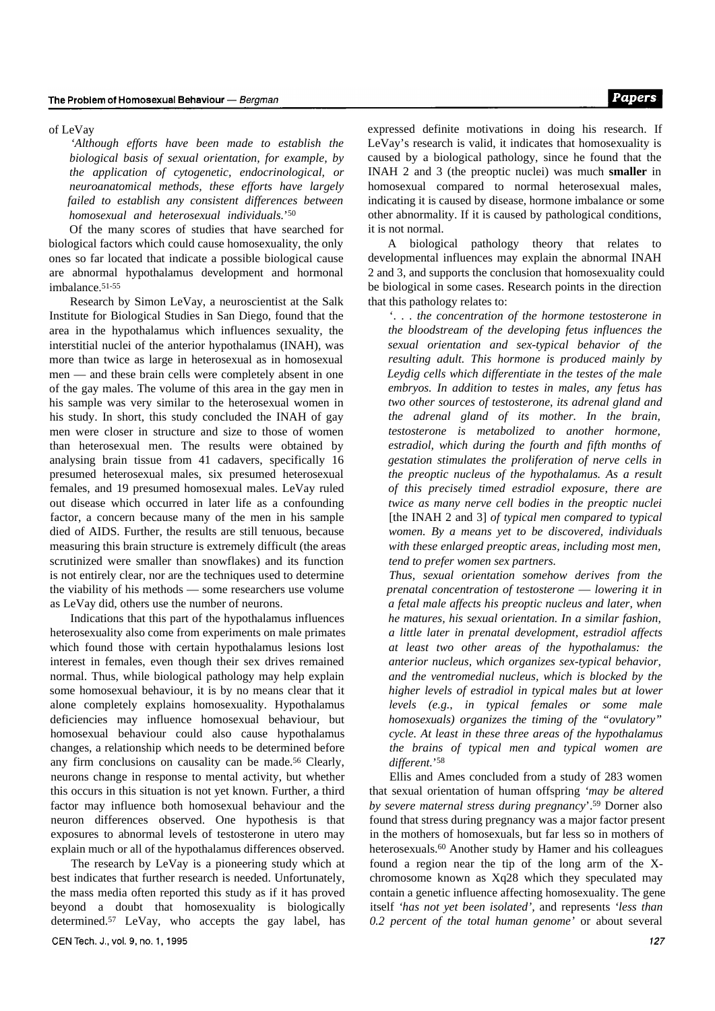#### of LeVay

*'Although efforts have been made to establish the biological basis of sexual orientation, for example, by the application of cytogenetic, endocrinological, or neuroanatomical methods, these efforts have largely failed to establish any consistent differences between homosexual and heterosexual individuals.*' 50

Of the many scores of studies that have searched for biological factors which could cause homosexuality, the only ones so far located that indicate a possible biological cause are abnormal hypothalamus development and hormonal imbalance.51-55

Research by Simon LeVay, a neuroscientist at the Salk Institute for Biological Studies in San Diego, found that the area in the hypothalamus which influences sexuality, the interstitial nuclei of the anterior hypothalamus (INAH), was more than twice as large in heterosexual as in homosexual men — and these brain cells were completely absent in one of the gay males. The volume of this area in the gay men in his sample was very similar to the heterosexual women in his study. In short, this study concluded the INAH of gay men were closer in structure and size to those of women than heterosexual men. The results were obtained by analysing brain tissue from 41 cadavers, specifically 16 presumed heterosexual males, six presumed heterosexual females, and 19 presumed homosexual males. LeVay ruled out disease which occurred in later life as a confounding factor, a concern because many of the men in his sample died of AIDS. Further, the results are still tenuous, because measuring this brain structure is extremely difficult (the areas scrutinized were smaller than snowflakes) and its function is not entirely clear, nor are the techniques used to determine the viability of his methods — some researchers use volume as LeVay did, others use the number of neurons.

Indications that this part of the hypothalamus influences heterosexuality also come from experiments on male primates which found those with certain hypothalamus lesions lost interest in females, even though their sex drives remained normal. Thus, while biological pathology may help explain some homosexual behaviour, it is by no means clear that it alone completely explains homosexuality. Hypothalamus deficiencies may influence homosexual behaviour, but homosexual behaviour could also cause hypothalamus changes, a relationship which needs to be determined before any firm conclusions on causality can be made.56 Clearly, neurons change in response to mental activity, but whether this occurs in this situation is not yet known. Further, a third factor may influence both homosexual behaviour and the neuron differences observed. One hypothesis is that exposures to abnormal levels of testosterone in utero may explain much or all of the hypothalamus differences observed.

The research by LeVay is a pioneering study which at best indicates that further research is needed. Unfortunately, the mass media often reported this study as if it has proved beyond a doubt that homosexuality is biologically determined.57 LeVay, who accepts the gay label, has expressed definite motivations in doing his research. If LeVay's research is valid, it indicates that homosexuality is caused by a biological pathology, since he found that the INAH 2 and 3 (the preoptic nuclei) was much **smaller** in homosexual compared to normal heterosexual males, indicating it is caused by disease, hormone imbalance or some other abnormality. If it is caused by pathological conditions, it is not normal.

A biological pathology theory that relates to developmental influences may explain the abnormal INAH 2 and 3, and supports the conclusion that homosexuality could be biological in some cases. Research points in the direction that this pathology relates to:

'. . . *the concentration of the hormone testosterone in the bloodstream of the developing fetus influences the sexual orientation and sex-typical behavior of the resulting adult. This hormone is produced mainly by Leydig cells which differentiate in the testes of the male embryos. In addition to testes in males, any fetus has two other sources of testosterone, its adrenal gland and the adrenal gland of its mother. In the brain, testosterone is metabolized to another hormone, estradiol, which during the fourth and fifth months of gestation stimulates the proliferation of nerve cells in the preoptic nucleus of the hypothalamus. As a result of this precisely timed estradiol exposure, there are twice as many nerve cell bodies in the preoptic nuclei* [the INAH 2 and 3] *of typical men compared to typical women. By a means yet to be discovered, individuals with these enlarged preoptic areas, including most men, tend to prefer women sex partners.*

*Thus, sexual orientation somehow derives from the prenatal concentration of testosterone* — *lowering it in a fetal male affects his preoptic nucleus and later, when he matures, his sexual orientation. In a similar fashion, a little later in prenatal development, estradiol affects at least two other areas of the hypothalamus: the anterior nucleus, which organizes sex-typical behavior, and the ventromedial nucleus, which is blocked by the higher levels of estradiol in typical males but at lower levels (e.g., in typical females or some male homosexuals) organizes the timing of the "ovulatory" cycle. At least in these three areas of the hypothalamus the brains of typical men and typical women are different.*' 58

Ellis and Ames concluded from a study of 283 women that sexual orientation of human offspring *'may be altered by severe maternal stress during pregnancy*'.59 Dorner also found that stress during pregnancy was a major factor present in the mothers of homosexuals, but far less so in mothers of heterosexuals.<sup>60</sup> Another study by Hamer and his colleagues found a region near the tip of the long arm of the Xchromosome known as Xq28 which they speculated may contain a genetic influence affecting homosexuality. The gene itself *'has not yet been isolated',* and represents *'less than 0.2 percent of the total human genome'* or about several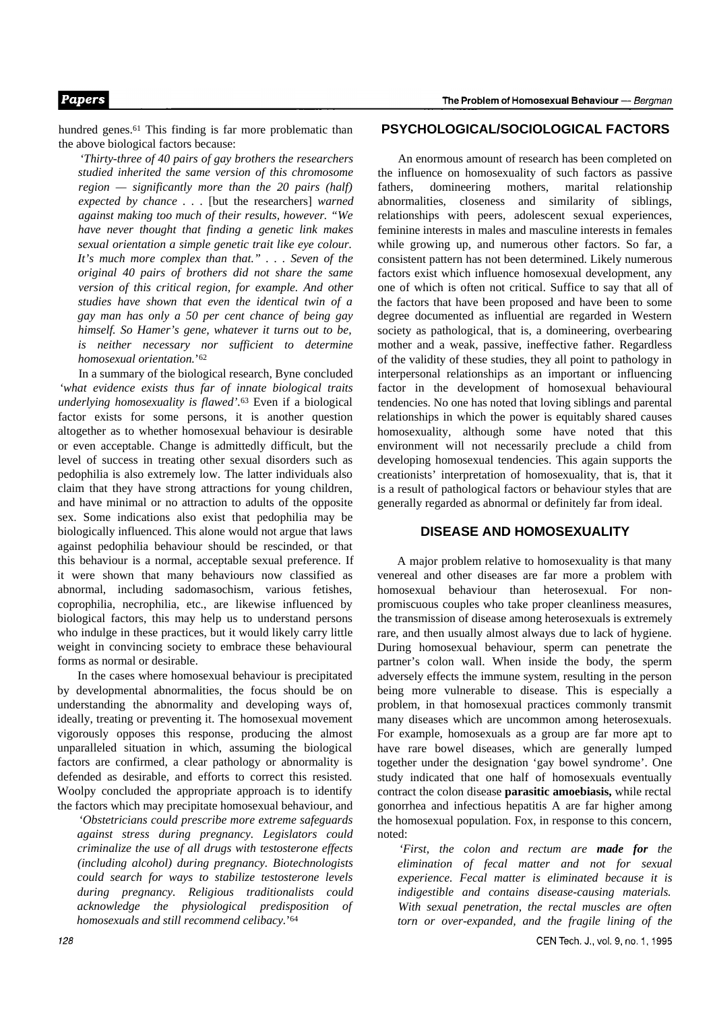## **Papers**

hundred genes.<sup>61</sup> This finding is far more problematic than the above biological factors because:

*'Thirty-three of 40 pairs of gay brothers the researchers studied inherited the same version of this chromosome region — significantly more than the 20 pairs (half) expected by chance . . .* [but the researchers] *warned against making too much of their results, however. "We have never thought that finding a genetic link makes sexual orientation a simple genetic trait like eye colour. It's much more complex than that." . . . Seven of the original 40 pairs of brothers did not share the same version of this critical region, for example. And other studies have shown that even the identical twin of a gay man has only a 50 per cent chance of being gay himself. So Hamer's gene, whatever it turns out to be, is neither necessary nor sufficient to determine homosexual orientation.*' 62

In a summary of the biological research, Byne concluded *'what evidence exists thus far of innate biological traits underlying homosexuality is flawed'.*63 Even if a biological factor exists for some persons, it is another question altogether as to whether homosexual behaviour is desirable or even acceptable. Change is admittedly difficult, but the level of success in treating other sexual disorders such as pedophilia is also extremely low. The latter individuals also claim that they have strong attractions for young children, and have minimal or no attraction to adults of the opposite sex. Some indications also exist that pedophilia may be biologically influenced. This alone would not argue that laws against pedophilia behaviour should be rescinded, or that this behaviour is a normal, acceptable sexual preference. If it were shown that many behaviours now classified as abnormal, including sadomasochism, various fetishes, coprophilia, necrophilia, etc., are likewise influenced by biological factors, this may help us to understand persons who indulge in these practices, but it would likely carry little weight in convincing society to embrace these behavioural forms as normal or desirable.

In the cases where homosexual behaviour is precipitated by developmental abnormalities, the focus should be on understanding the abnormality and developing ways of, ideally, treating or preventing it. The homosexual movement vigorously opposes this response, producing the almost unparalleled situation in which, assuming the biological factors are confirmed, a clear pathology or abnormality is defended as desirable, and efforts to correct this resisted. Woolpy concluded the appropriate approach is to identify the factors which may precipitate homosexual behaviour, and

*'Obstetricians could prescribe more extreme safeguards against stress during pregnancy. Legislators could criminalize the use of all drugs with testosterone effects (including alcohol) during pregnancy. Biotechnologists could search for ways to stabilize testosterone levels during pregnancy. Religious traditionalists could acknowledge the physiological predisposition of homosexuals and still recommend celibacy.*' 64

#### **PSYCHOLOGICAL/SOCIOLOGICAL FACTORS**

An enormous amount of research has been completed on the influence on homosexuality of such factors as passive fathers, domineering mothers, marital relationship abnormalities, closeness and similarity of siblings, relationships with peers, adolescent sexual experiences, feminine interests in males and masculine interests in females while growing up, and numerous other factors. So far, a consistent pattern has not been determined. Likely numerous factors exist which influence homosexual development, any one of which is often not critical. Suffice to say that all of the factors that have been proposed and have been to some degree documented as influential are regarded in Western society as pathological, that is, a domineering, overbearing mother and a weak, passive, ineffective father. Regardless of the validity of these studies, they all point to pathology in interpersonal relationships as an important or influencing factor in the development of homosexual behavioural tendencies. No one has noted that loving siblings and parental relationships in which the power is equitably shared causes homosexuality, although some have noted that this environment will not necessarily preclude a child from developing homosexual tendencies. This again supports the creationists' interpretation of homosexuality, that is, that it is a result of pathological factors or behaviour styles that are generally regarded as abnormal or definitely far from ideal.

#### **DISEASE AND HOMOSEXUALITY**

A major problem relative to homosexuality is that many venereal and other diseases are far more a problem with homosexual behaviour than heterosexual. For nonpromiscuous couples who take proper cleanliness measures, the transmission of disease among heterosexuals is extremely rare, and then usually almost always due to lack of hygiene. During homosexual behaviour, sperm can penetrate the partner's colon wall. When inside the body, the sperm adversely effects the immune system, resulting in the person being more vulnerable to disease. This is especially a problem, in that homosexual practices commonly transmit many diseases which are uncommon among heterosexuals. For example, homosexuals as a group are far more apt to have rare bowel diseases, which are generally lumped together under the designation 'gay bowel syndrome'. One study indicated that one half of homosexuals eventually contract the colon disease **parasitic amoebiasis,** while rectal gonorrhea and infectious hepatitis A are far higher among the homosexual population. Fox, in response to this concern, noted:

*'First, the colon and rectum are made for the elimination of fecal matter and not for sexual experience. Fecal matter is eliminated because it is indigestible and contains disease-causing materials. With sexual penetration, the rectal muscles are often torn or over-expanded, and the fragile lining of the*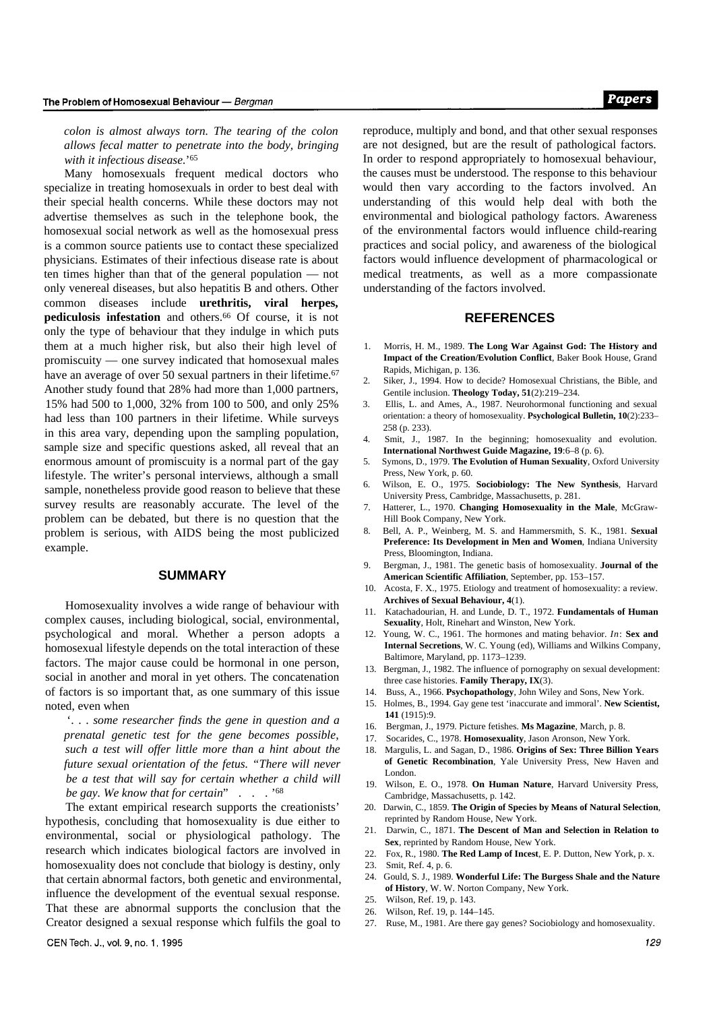*colon is almost always torn. The tearing of the colon allows fecal matter to penetrate into the body, bringing with it infectious disease.*' 65

Many homosexuals frequent medical doctors who specialize in treating homosexuals in order to best deal with their special health concerns. While these doctors may not advertise themselves as such in the telephone book, the homosexual social network as well as the homosexual press is a common source patients use to contact these specialized physicians. Estimates of their infectious disease rate is about ten times higher than that of the general population — not only venereal diseases, but also hepatitis B and others. Other common diseases include **urethritis, viral herpes, pediculosis infestation** and others.66 Of course, it is not only the type of behaviour that they indulge in which puts them at a much higher risk, but also their high level of promiscuity — one survey indicated that homosexual males have an average of over 50 sexual partners in their lifetime.<sup>67</sup> Another study found that 28% had more than 1,000 partners, 15% had 500 to 1,000, 32% from 100 to 500, and only 25% had less than 100 partners in their lifetime. While surveys in this area vary, depending upon the sampling population, sample size and specific questions asked, all reveal that an enormous amount of promiscuity is a normal part of the gay lifestyle. The writer's personal interviews, although a small sample, nonetheless provide good reason to believe that these survey results are reasonably accurate. The level of the problem can be debated, but there is no question that the problem is serious, with AIDS being the most publicized example.

#### **SUMMARY**

Homosexuality involves a wide range of behaviour with complex causes, including biological, social, environmental, psychological and moral. Whether a person adopts a homosexual lifestyle depends on the total interaction of these factors. The major cause could be hormonal in one person, social in another and moral in yet others. The concatenation of factors is so important that, as one summary of this issue noted, even when

'. . . *some researcher finds the gene in question and a prenatal genetic test for the gene becomes possible, such a test will offer little more than a hint about the future sexual orientation of the fetus. "There will never be a test that will say for certain whether a child will be gay. We know that for certain*" . . . ' 68

The extant empirical research supports the creationists' hypothesis, concluding that homosexuality is due either to environmental, social or physiological pathology. The research which indicates biological factors are involved in homosexuality does not conclude that biology is destiny, only that certain abnormal factors, both genetic and environmental, influence the development of the eventual sexual response. That these are abnormal supports the conclusion that the Creator designed a sexual response which fulfils the goal to

reproduce, multiply and bond, and that other sexual responses are not designed, but are the result of pathological factors. In order to respond appropriately to homosexual behaviour, the causes must be understood. The response to this behaviour would then vary according to the factors involved. An understanding of this would help deal with both the environmental and biological pathology factors. Awareness of the environmental factors would influence child-rearing practices and social policy, and awareness of the biological factors would influence development of pharmacological or medical treatments, as well as a more compassionate understanding of the factors involved.

#### **REFERENCES**

- 1. Morris, H. M., 1989. **The Long War Against God: The History and Impact of the Creation/Evolution Conflict**, Baker Book House, Grand Rapids, Michigan, p. 136.
- 2. Siker, J., 1994. How to decide? Homosexual Christians, the Bible, and Gentile inclusion. **Theology Today, 51**(2):219–234.
- 3. Ellis, L. and Ames, A., 1987. Neurohormonal functioning and sexual orientation: a theory of homosexuality. **Psychological Bulletin, 10**(2):233– 258 (p. 233).
- 4. Smit, J., 1987. In the beginning; homosexuality and evolution. **International Northwest Guide Magazine, 19**:6–8 (p. 6).
- 5. Symons, D., 1979. **The Evolution of Human Sexuality**, Oxford University Press, New York, p. 60.
- 6. Wilson, E. O., 1975. **Sociobiology: The New Synthesis**, Harvard University Press, Cambridge, Massachusetts, p. 281.
- 7. Hatterer, L., 1970. **Changing Homosexuality in the Male**, McGraw-Hill Book Company, New York.
- 8. Bell, A. P., Weinberg, M. S. and Hammersmith, S. K., 1981. **Sexual Preference: Its Development in Men and Women**, Indiana University Press, Bloomington, Indiana.
- 9. Bergman, J., 1981. The genetic basis of homosexuality. **Journal of the American Scientific Affiliation**, September, pp. 153–157.
- 10. Acosta, F. X., 1975. Etiology and treatment of homosexuality: a review. **Archives of Sexual Behaviour, 4**(1).
- 11. Katachadourian, H. and Lunde, D. T., 1972. **Fundamentals of Human Sexuality**, Holt, Rinehart and Winston, New York.
- 12. Young, W. C., 1961. The hormones and mating behavior. *In*: **Sex and Internal Secretions**, W. C. Young (ed), Williams and Wilkins Company, Baltimore, Maryland, pp. 1173–1239.
- 13. Bergman, J., 1982. The influence of pornography on sexual development: three case histories. **Family Therapy, IX**(3).
- 14. Buss, A., 1966. **Psychopathology**, John Wiley and Sons, New York.
- 15. Holmes, B., 1994. Gay gene test 'inaccurate and immoral'. **New Scientist, 141** (1915):9.
- 16. Bergman, J., 1979. Picture fetishes. **Ms Magazine**, March, p. 8.
- 17. Socarides, C., 1978. **Homosexuality**, Jason Aronson, New York.
- 18. Margulis, L. and Sagan, D., 1986. **Origins of Sex: Three Billion Years of Genetic Recombination**, Yale University Press, New Haven and London.
- 19. Wilson, E. O., 1978. **On Human Nature**, Harvard University Press, Cambridge, Massachusetts, p. 142.
- 20. Darwin, C., 1859. **The Origin of Species by Means of Natural Selection**, reprinted by Random House, New York.
- 21. Darwin, C., 1871. **The Descent of Man and Selection in Relation to Sex**, reprinted by Random House, New York.
- 22. Fox, R., 1980. **The Red Lamp of Incest**, E. P. Dutton, New York, p. x.
- 23. Smit, Ref. 4, p. 6.
- 24. Gould, S. J., 1989. **Wonderful Life: The Burgess Shale and the Nature of History**, W. W. Norton Company, New York.
- 25. Wilson, Ref. 19, p. 143.
- 26. Wilson, Ref. 19, p. 144–145.
- 27. Ruse, M., 1981. Are there gay genes? Sociobiology and homosexuality.